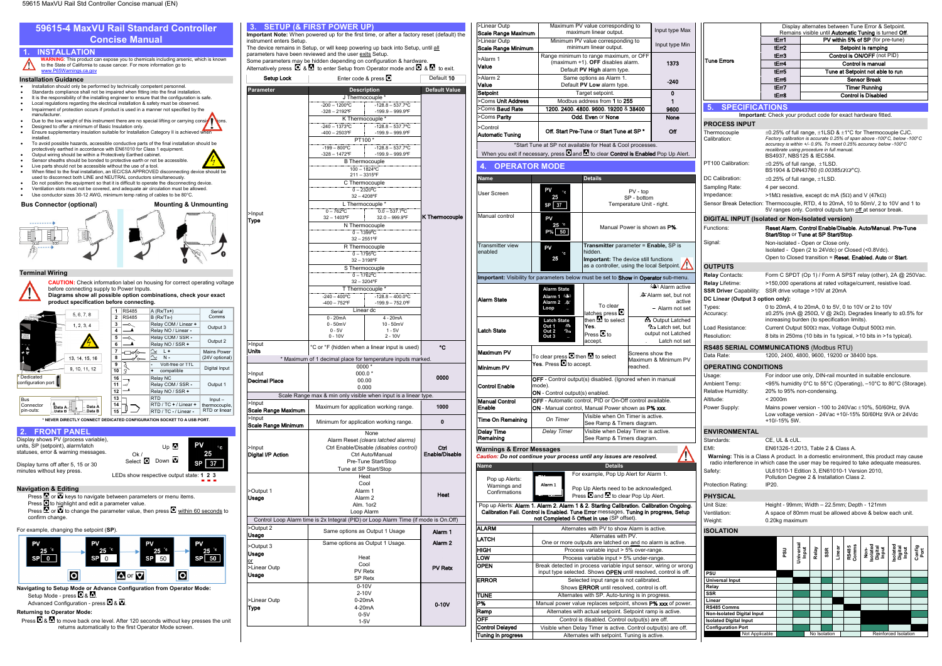**Navigating to Setup Mode or Advance Configuration from Operator Mode:** Setup Mode - press  $\Box$  &  $\Box$ 

Advanced Configuration - press  $\blacksquare$  &  $\blacksquare$ .

lo

Press  $\Omega$  &  $\Omega$  to move back one level. After 120 seconds without key presses the unit returns automatically to the first Operator Mode screen.

 $\Delta$  or  $\nabla$ 

lol

**Returning to Operator Mode:**

**A** Output Latched **Latch set**, but output not Latched Latch not set

Usage

SP Retx

>Linear Outp Type

0-10V 2-10V 0-20mA 4-20mA 0-5V 1-5V

0-10V

ERROR Selected input range is not calibrated.

**TUNE** Alternates with SP. Auto-tuning is in progress.

Ramp Alternates with actual setpoint. Setpoint ramp is active.<br> **OFF** Control is disabled. Control output(s) are off.

Control Delayed Visible when Delay Timer is active. Control output(s) are off.<br>
Tuning in progress Alternates with setpoint. Tuning is active.

Shows ERROR until resolved, control is off.

Manual power value replaces setpoint, shows P% xxx of power

 $\overline{\text{Control}}$  is disabled. Control output(s) are off.

Alternates with setpoint. Tuning is active.

1373

Alarm active Alarm set, but not

> active Alarm not set

<span id="page-0-0"></span>

|                                                                                                 |                                                                                                 |                                                                                                                                                                                |                                                                                            |              |     |        |                | Display alternates between Tune Error & Setpoint.                                                                                            |                             |                |
|-------------------------------------------------------------------------------------------------|-------------------------------------------------------------------------------------------------|--------------------------------------------------------------------------------------------------------------------------------------------------------------------------------|--------------------------------------------------------------------------------------------|--------------|-----|--------|----------------|----------------------------------------------------------------------------------------------------------------------------------------------|-----------------------------|----------------|
|                                                                                                 |                                                                                                 |                                                                                                                                                                                |                                                                                            |              |     |        |                | Remains visible until <b>Automatic Tuning</b> is turned Off.                                                                                 |                             |                |
|                                                                                                 |                                                                                                 | tErr1                                                                                                                                                                          |                                                                                            |              |     |        |                | PV within 5% of SP (for pre-tune)                                                                                                            |                             |                |
|                                                                                                 |                                                                                                 | tEm <sub>2</sub><br>tErr3                                                                                                                                                      |                                                                                            |              |     |        |                | Setpoint is ramping<br><b>Control is ON/OFF (not PID)</b>                                                                                    |                             |                |
| Tune Errors                                                                                     |                                                                                                 | tEm4                                                                                                                                                                           |                                                                                            |              |     |        |                | Control is manual                                                                                                                            |                             |                |
|                                                                                                 |                                                                                                 | tErr5                                                                                                                                                                          |                                                                                            |              |     |        |                | Tune at Setpoint not able to run                                                                                                             |                             |                |
|                                                                                                 |                                                                                                 | tErr6                                                                                                                                                                          |                                                                                            |              |     |        |                | Sensor Break                                                                                                                                 |                             |                |
|                                                                                                 |                                                                                                 | tErr7                                                                                                                                                                          |                                                                                            |              |     |        |                | Timer Running                                                                                                                                |                             |                |
|                                                                                                 |                                                                                                 | tErr8                                                                                                                                                                          |                                                                                            |              |     |        |                | <b>Control is Disabled</b>                                                                                                                   |                             |                |
| 5. SPECIFICATIONS                                                                               |                                                                                                 |                                                                                                                                                                                |                                                                                            |              |     |        |                |                                                                                                                                              |                             |                |
| <b>PROCESS INPUT</b>                                                                            |                                                                                                 |                                                                                                                                                                                |                                                                                            |              |     |        |                | Important: Check your product code for exact hardware fitted.                                                                                |                             |                |
| Thermocouple                                                                                    |                                                                                                 |                                                                                                                                                                                |                                                                                            |              |     |        |                | $\pm 0.25\%$ of full range, $\pm 1$ LSD & $\pm 1\degree$ C for Thermocouple CJC.                                                             |                             |                |
| Calibration:                                                                                    |                                                                                                 |                                                                                                                                                                                | recalibrate using procedure in full manual.<br>BS4937, NBS125 & IEC584.                    |              |     |        |                | Factory calibration is accurate 0.25% of span above -100°C, below -100°C<br>accuracy is within +/- 0.9%. To meet 0.25% accuracy below -100°C |                             |                |
| PT100 Calibration:                                                                              |                                                                                                 |                                                                                                                                                                                | $\pm 0.25\%$ of full range, $\pm 1$ LSD.<br>BS1904 & DIN43760 (0.00385Ω/Ω <sup>®</sup> C). |              |     |        |                |                                                                                                                                              |                             |                |
| DC Calibration:                                                                                 |                                                                                                 |                                                                                                                                                                                | $\pm 0.25\%$ of full range, $\pm 1$ LSD.                                                   |              |     |        |                |                                                                                                                                              |                             |                |
| Sampling Rate:                                                                                  |                                                                                                 | 4 per second.                                                                                                                                                                  |                                                                                            |              |     |        |                |                                                                                                                                              |                             |                |
| Impedance:                                                                                      |                                                                                                 |                                                                                                                                                                                |                                                                                            |              |     |        |                | >1M $\Omega$ resistive, except dc mA (5 $\Omega$ ) and V (47k $\Omega$ )                                                                     |                             |                |
| Sensor Break Detection: Thermocouple, RTD, 4 to 20mA, 10 to 50mV, 2 to 10V and 1 to             |                                                                                                 |                                                                                                                                                                                |                                                                                            |              |     |        |                | 5V ranges only. Control outputs turn off at sensor break.                                                                                    |                             |                |
| DIGITAL INPUT (Isolated or Non-Isolated version)                                                |                                                                                                 |                                                                                                                                                                                |                                                                                            |              |     |        |                |                                                                                                                                              |                             |                |
| Functions:                                                                                      |                                                                                                 |                                                                                                                                                                                | Start/Stop or Tune at SP Start/Stop.                                                       |              |     |        |                | Reset Alarm, Control Enable/Disable, Auto/Manual, Pre-Tune                                                                                   |                             |                |
| Signal:                                                                                         |                                                                                                 |                                                                                                                                                                                | Non-isolated - Open or Close only.                                                         |              |     |        |                | Isolated - Open (2 to 24Vdc) or Closed (<0.8Vdc).<br>Open to Closed transition = Reset, Enabled, Auto or Start.                              |                             |                |
| <b>OUTPUTS</b>                                                                                  |                                                                                                 |                                                                                                                                                                                |                                                                                            |              |     |        |                |                                                                                                                                              |                             |                |
| Relay Contacts:                                                                                 |                                                                                                 |                                                                                                                                                                                |                                                                                            |              |     |        |                | Form C SPDT (Op 1) / Form A SPST relay (other), $2A \omega$ 250Vac.                                                                          |                             |                |
| Relay Lifetime:<br><b>SSR Driver Capability:</b>                                                | >150,000 operations at rated voltage/current, resistive load.<br>SSR drive voltage >10V at 20mA |                                                                                                                                                                                |                                                                                            |              |     |        |                |                                                                                                                                              |                             |                |
| DC Linear (Output 3 option only):<br>Types:                                                     |                                                                                                 |                                                                                                                                                                                |                                                                                            |              |     |        |                |                                                                                                                                              |                             |                |
| Accuracy:                                                                                       |                                                                                                 | 0 to 20mA, 4 to 20mA, 0 to 5V, 0 to 10V or 2 to 10V<br>$\pm 0.25\%$ (mA @ 250Ω, V @ 2kΩ). Degrades linearly to $\pm 0.5\%$ for<br>increasing burden (to specification limits). |                                                                                            |              |     |        |                |                                                                                                                                              |                             |                |
| Load Resistance:                                                                                | Current Output 500 $\Omega$ max, Voltage Output 500 $\Omega$ min.                               |                                                                                                                                                                                |                                                                                            |              |     |        |                |                                                                                                                                              |                             |                |
| 8 bits in 250ms (10 bits in 1s typical, >10 bits in >1s typical).<br>Resolution:                |                                                                                                 |                                                                                                                                                                                |                                                                                            |              |     |        |                |                                                                                                                                              |                             |                |
| <b>RS485 SERIAL COMMUNICATIONS (Modbus RTU)</b><br>Data Rate:                                   |                                                                                                 |                                                                                                                                                                                |                                                                                            |              |     |        |                | 1200, 2400, 4800, 9600, 19200 or 38400 bps.                                                                                                  |                             |                |
| <b>OPERATING CONDITIONS</b>                                                                     |                                                                                                 |                                                                                                                                                                                |                                                                                            |              |     |        |                |                                                                                                                                              |                             |                |
| Usage:                                                                                          |                                                                                                 |                                                                                                                                                                                |                                                                                            |              |     |        |                | For indoor use only, DIN-rail mounted in suitable enclosure.                                                                                 |                             |                |
| Ambient Temp:                                                                                   |                                                                                                 |                                                                                                                                                                                |                                                                                            |              |     |        |                | <95% humidity 0°C to 55°C (Operating), -10°C to 80°C (Storage).                                                                              |                             |                |
| Relative Humidity:                                                                              |                                                                                                 |                                                                                                                                                                                | 20% to 95% non-condensing.                                                                 |              |     |        |                |                                                                                                                                              |                             |                |
| Altitude:                                                                                       | < 2000m                                                                                         |                                                                                                                                                                                |                                                                                            |              |     |        |                |                                                                                                                                              |                             |                |
| Power Supply:                                                                                   |                                                                                                 | +10/-15% 5W.                                                                                                                                                                   |                                                                                            |              |     |        |                | Mains power version - 100 to 240Vac $\pm$ 10%, 50/60Hz, 9VA<br>Low voltage version - 24Vac +10/-15% 50/60Hz 9VA or 24Vdc                     |                             |                |
| <b>ENVIRONMENTAL</b>                                                                            |                                                                                                 |                                                                                                                                                                                |                                                                                            |              |     |        |                |                                                                                                                                              |                             |                |
| Standards:                                                                                      |                                                                                                 | CE, UL & cUL.                                                                                                                                                                  |                                                                                            |              |     |        |                |                                                                                                                                              |                             |                |
| EMI:                                                                                            |                                                                                                 |                                                                                                                                                                                | EN61326-1:2013, Table 2 & Class A.                                                         |              |     |        |                |                                                                                                                                              |                             |                |
| Warning: This is a Class A product. In a domestic environment, this product may cause           |                                                                                                 |                                                                                                                                                                                |                                                                                            |              |     |        |                |                                                                                                                                              |                             |                |
| radio interference in which case the user may be required to take adequate measures.<br>Safety: |                                                                                                 |                                                                                                                                                                                |                                                                                            |              |     |        |                | UL61010-1 Edition 3, EN61010-1 Version 2010,                                                                                                 |                             |                |
|                                                                                                 |                                                                                                 |                                                                                                                                                                                | Pollution Degree 2 & Installation Class 2.                                                 |              |     |        |                |                                                                                                                                              |                             |                |
| Protection Rating:                                                                              | IP20.                                                                                           |                                                                                                                                                                                |                                                                                            |              |     |        |                |                                                                                                                                              |                             |                |
| <b>PHYSICAL</b>                                                                                 |                                                                                                 |                                                                                                                                                                                |                                                                                            |              |     |        |                |                                                                                                                                              |                             |                |
| Unit Size:                                                                                      |                                                                                                 |                                                                                                                                                                                |                                                                                            |              |     |        |                | Height - 99mm; Width - 22.5mm; Depth - 121mm                                                                                                 |                             |                |
| Ventilation:                                                                                    |                                                                                                 |                                                                                                                                                                                |                                                                                            |              |     |        |                | A space of 80mm must be allowed above & below each unit.                                                                                     |                             |                |
| Weight:                                                                                         |                                                                                                 | 0.20kg maximum                                                                                                                                                                 |                                                                                            |              |     |        |                |                                                                                                                                              |                             |                |
| <b>ISOLATION</b>                                                                                |                                                                                                 |                                                                                                                                                                                |                                                                                            |              |     |        |                |                                                                                                                                              |                             |                |
|                                                                                                 |                                                                                                 | ន្ថ                                                                                                                                                                            | Universal<br>Input                                                                         | Relay        | SSR | Linear | RS485<br>Comms | Non-<br>Sate<br>Digital<br>Input                                                                                                             | solated<br>Digital<br>Input | Config<br>Port |
|                                                                                                 |                                                                                                 |                                                                                                                                                                                |                                                                                            |              |     |        |                |                                                                                                                                              |                             |                |
| PSU<br>Universal Input                                                                          |                                                                                                 |                                                                                                                                                                                |                                                                                            |              |     |        |                |                                                                                                                                              |                             |                |
| Relay                                                                                           |                                                                                                 |                                                                                                                                                                                |                                                                                            |              |     |        |                |                                                                                                                                              |                             |                |
| SSR<br>Linear                                                                                   |                                                                                                 |                                                                                                                                                                                |                                                                                            |              |     |        |                |                                                                                                                                              |                             |                |
| RS485 Comms                                                                                     |                                                                                                 |                                                                                                                                                                                |                                                                                            |              |     |        |                |                                                                                                                                              |                             |                |
| Non-Isolated Digital Input                                                                      |                                                                                                 |                                                                                                                                                                                |                                                                                            |              |     |        |                |                                                                                                                                              |                             |                |
| <b>Isolated Digital Input</b><br><b>Configuration Port</b>                                      |                                                                                                 |                                                                                                                                                                                |                                                                                            |              |     |        |                |                                                                                                                                              |                             |                |
| Not Applicable                                                                                  |                                                                                                 |                                                                                                                                                                                |                                                                                            | No Isolation |     |        |                |                                                                                                                                              | Reinforced Isolation        |                |